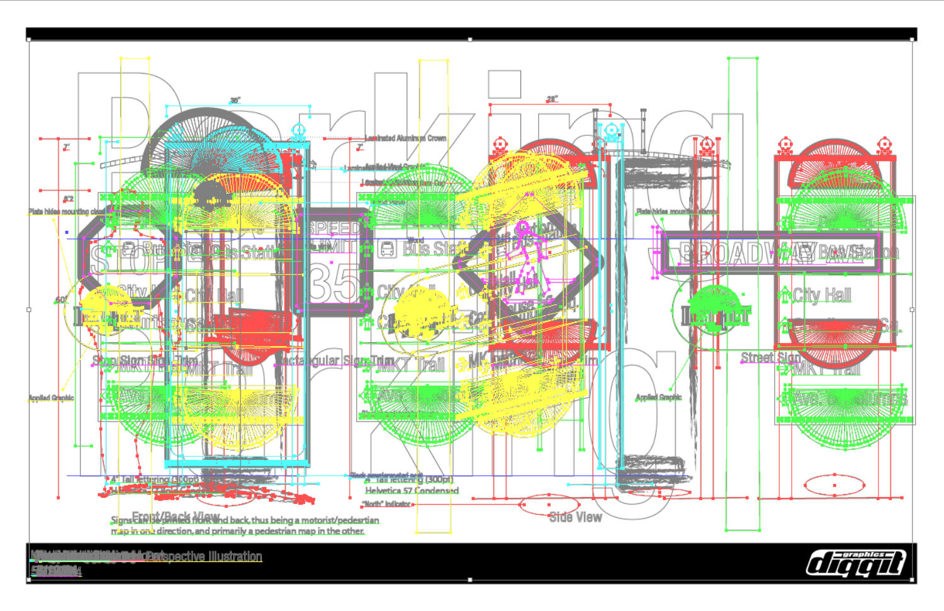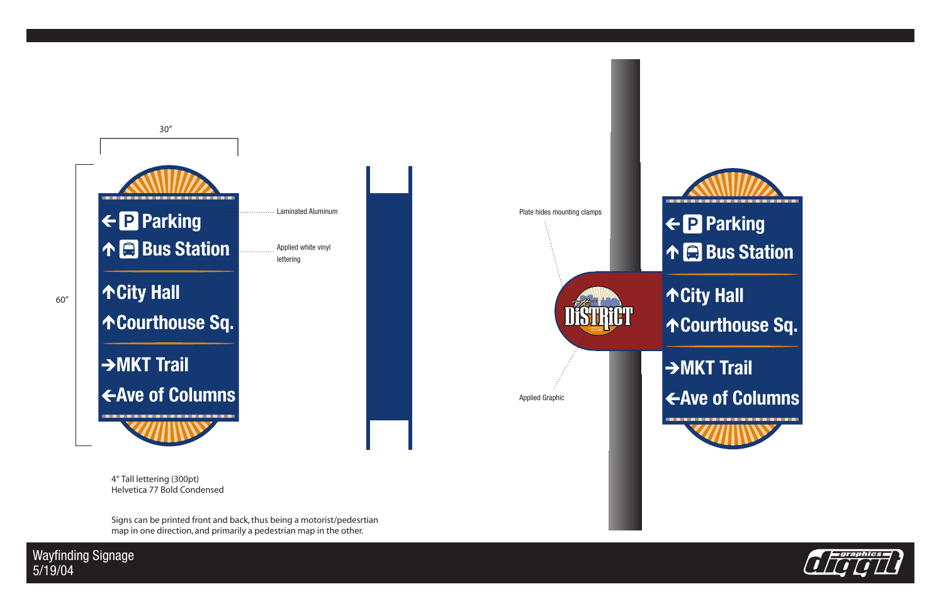

4" Tall lettering (300pt) Helvetica 77 Bold Condensed

Signs can be printed front and back, thus being a motorist/pedesrtian map in one direction, and primarily a pedestrian map in the other.

**Wayfinding Signage**  $5/19/04$ 

 $60''$ 

- 
- 
- 
- 
- 

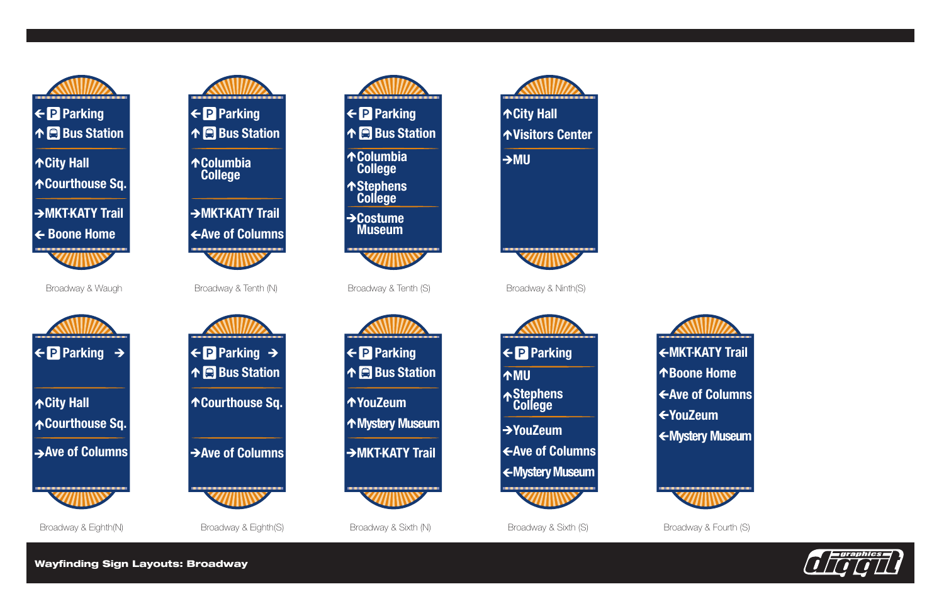

 $→$ **Costume Museum** 













Wayfinding Sign Layouts: Broadway







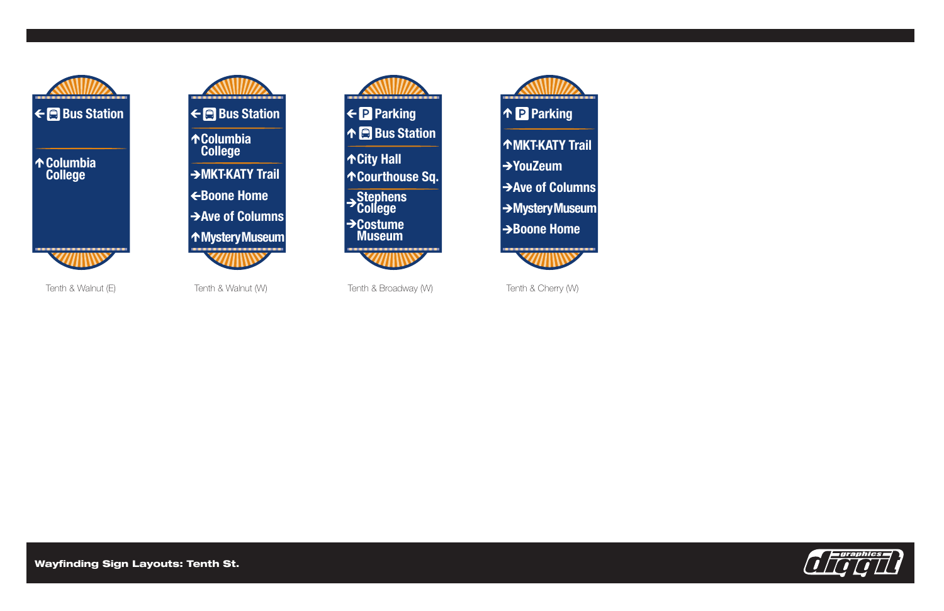

 $\leftarrow \blacksquare$  Bus Station ↑Columbia → MKT-KATY Trail EBoone Home Ave of Columns **↑MysteryMuseum** 





Tenth & Walnut (E)

Tenth & Walnut (W)

Tenth & Broadway (W)

Tenth & Cherry (W)

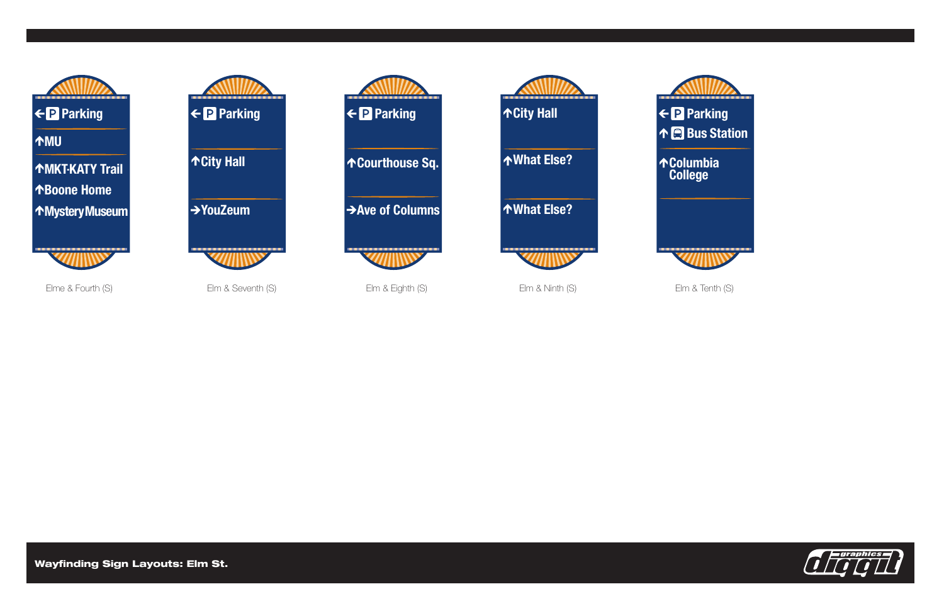

Elm & Seventh (S)





Elme & Fourth (S)

**Wayfinding Sign Layouts: Elm St.** 



← P Parking ↑ **A** Bus Station

**AColumbia<br>College** 



Elm & Tenth (S)

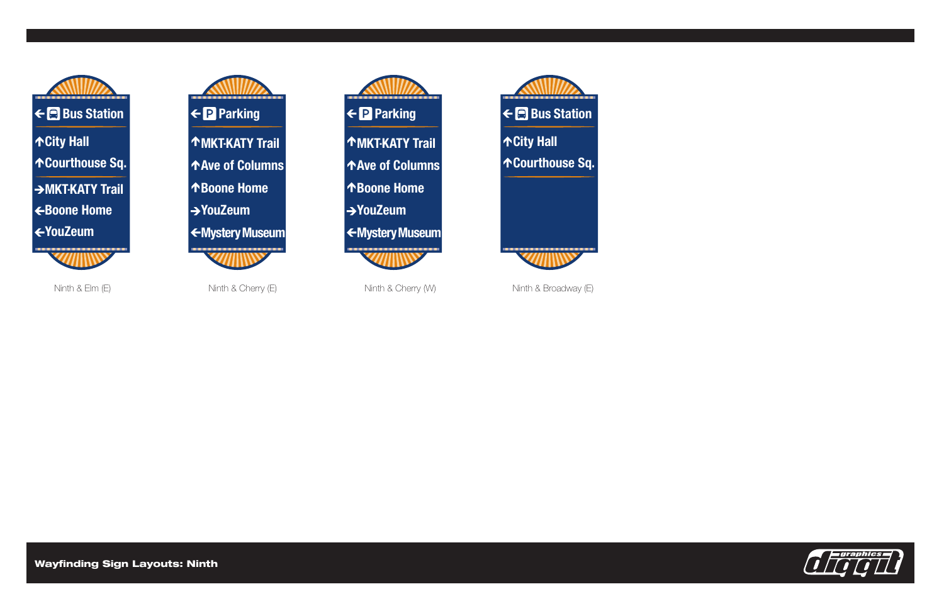







.INTH%LM% .INTH#HERRY% .INTH#HERRY7 .INTH"ROADWAY% 

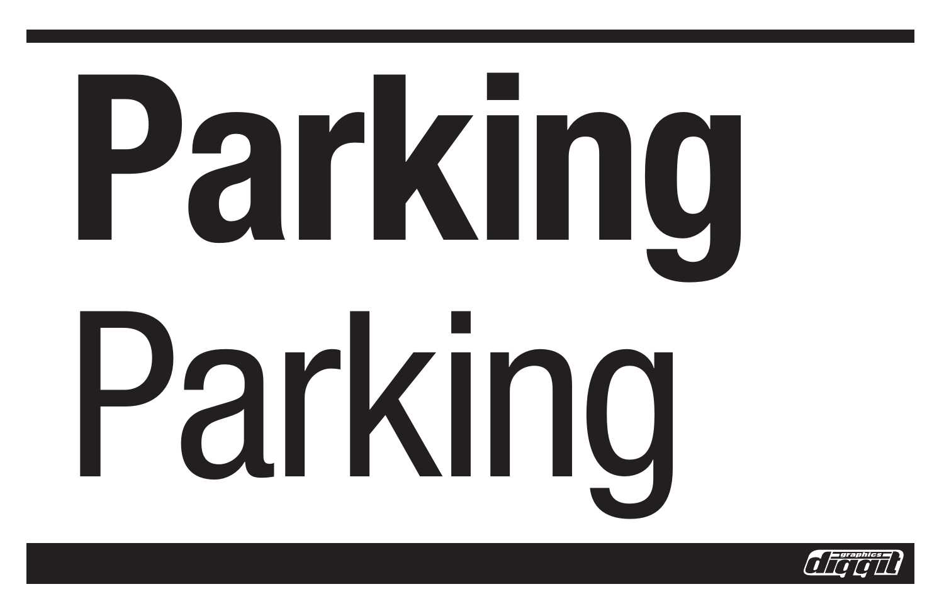



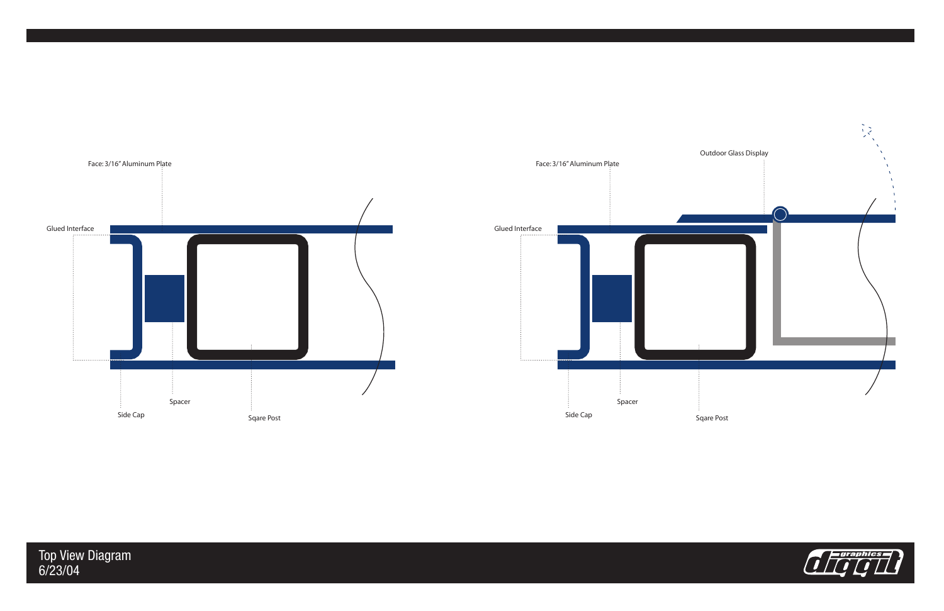

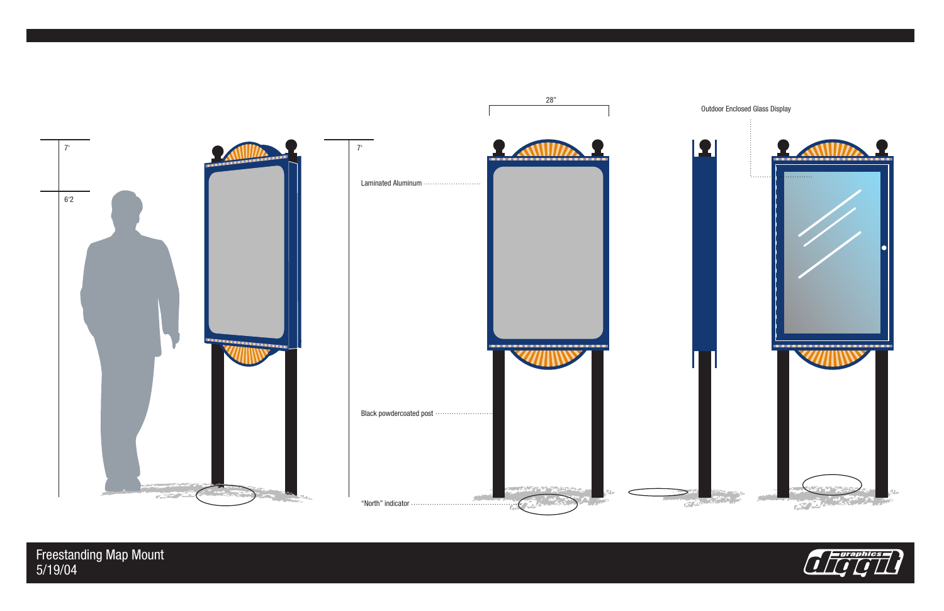

Freestanding Map Mount<br>5/19/04



## Outdoor Enclosed Glass Display

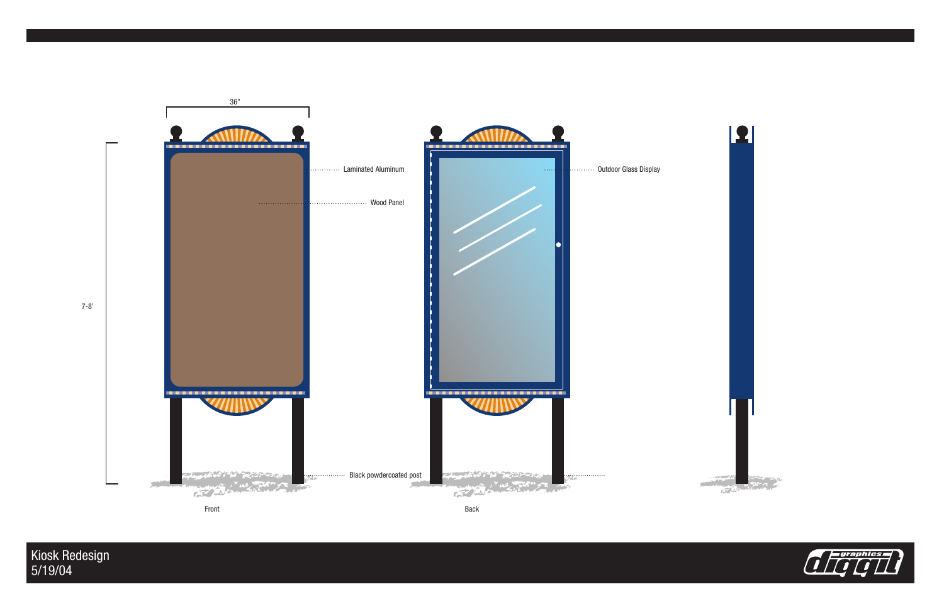

Kiosk Redesign<br>5/19/04